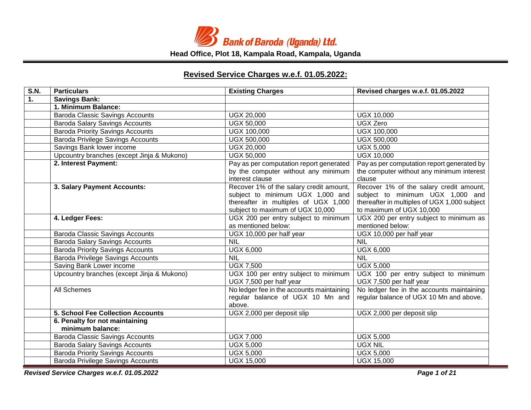

# **Revised Service Charges w.e.f. 01.05.2022:**

| S.N. | <b>Particulars</b>                                 | <b>Existing Charges</b>                                                                                                                                 | Revised charges w.e.f. 01.05.2022                                                                                                                       |
|------|----------------------------------------------------|---------------------------------------------------------------------------------------------------------------------------------------------------------|---------------------------------------------------------------------------------------------------------------------------------------------------------|
| 1.   | <b>Savings Bank:</b>                               |                                                                                                                                                         |                                                                                                                                                         |
|      | 1. Minimum Balance:                                |                                                                                                                                                         |                                                                                                                                                         |
|      | <b>Baroda Classic Savings Accounts</b>             | UGX 20,000                                                                                                                                              | <b>UGX 10,000</b>                                                                                                                                       |
|      | <b>Baroda Salary Savings Accounts</b>              | <b>UGX 50,000</b>                                                                                                                                       | <b>UGX Zero</b>                                                                                                                                         |
|      | <b>Baroda Priority Savings Accounts</b>            | UGX 100,000                                                                                                                                             | UGX 100,000                                                                                                                                             |
|      | Baroda Privilege Savings Accounts                  | UGX 500,000                                                                                                                                             | <b>UGX 500,000</b>                                                                                                                                      |
|      | Savings Bank lower income                          | <b>UGX 20,000</b>                                                                                                                                       | <b>UGX 5,000</b>                                                                                                                                        |
|      | Upcountry branches (except Jinja & Mukono)         | <b>UGX 50,000</b>                                                                                                                                       | <b>UGX 10,000</b>                                                                                                                                       |
|      | 2. Interest Payment:                               | Pay as per computation report generated<br>by the computer without any minimum<br>interest clause                                                       | Pay as per computation report generated by<br>the computer without any minimum interest<br>clause                                                       |
|      | 3. Salary Payment Accounts:                        | Recover 1% of the salary credit amount,<br>subject to minimum UGX 1,000 and<br>thereafter in multiples of UGX 1,000<br>subject to maximum of UGX 10,000 | Recover 1% of the salary credit amount,<br>subject to minimum UGX 1,000 and<br>thereafter in multiples of UGX 1,000 subject<br>to maximum of UGX 10,000 |
|      | 4. Ledger Fees:                                    | UGX 200 per entry subject to minimum<br>as mentioned below:                                                                                             | UGX 200 per entry subject to minimum as<br>mentioned below:                                                                                             |
|      | <b>Baroda Classic Savings Accounts</b>             | UGX 10,000 per half year                                                                                                                                | UGX 10,000 per half year                                                                                                                                |
|      | <b>Baroda Salary Savings Accounts</b>              | <b>NIL</b>                                                                                                                                              | <b>NIL</b>                                                                                                                                              |
|      | <b>Baroda Priority Savings Accounts</b>            | <b>UGX 6,000</b>                                                                                                                                        | <b>UGX 6,000</b>                                                                                                                                        |
|      | Baroda Privilege Savings Accounts                  | <b>NIL</b>                                                                                                                                              | <b>NIL</b>                                                                                                                                              |
|      | Saving Bank Lower income                           | <b>UGX 7,500</b>                                                                                                                                        | <b>UGX 5,000</b>                                                                                                                                        |
|      | Upcountry branches (except Jinja & Mukono)         | UGX 100 per entry subject to minimum<br>UGX 7,500 per half year                                                                                         | UGX 100 per entry subject to minimum<br>UGX 7,500 per half year                                                                                         |
|      | All Schemes                                        | No ledger fee in the accounts maintaining<br>regular balance of UGX 10 Mn and<br>above.                                                                 | No ledger fee in the accounts maintaining<br>regular balance of UGX 10 Mn and above.                                                                    |
|      | <b>5. School Fee Collection Accounts</b>           | UGX 2,000 per deposit slip                                                                                                                              | UGX 2,000 per deposit slip                                                                                                                              |
|      | 6. Penalty for not maintaining<br>minimum balance: |                                                                                                                                                         |                                                                                                                                                         |
|      | <b>Baroda Classic Savings Accounts</b>             | <b>UGX 7,000</b>                                                                                                                                        | <b>UGX 5,000</b>                                                                                                                                        |
|      | <b>Baroda Salary Savings Accounts</b>              | <b>UGX 5,000</b>                                                                                                                                        | <b>UGX NIL</b>                                                                                                                                          |
|      | <b>Baroda Priority Savings Accounts</b>            | <b>UGX 5,000</b>                                                                                                                                        | <b>UGX 5,000</b>                                                                                                                                        |
|      | <b>Baroda Privilege Savings Accounts</b>           | <b>UGX 15,000</b>                                                                                                                                       | <b>UGX 15,000</b>                                                                                                                                       |

*Revised Service Charges w.e.f. 01.05.2022 Page 1 of 21*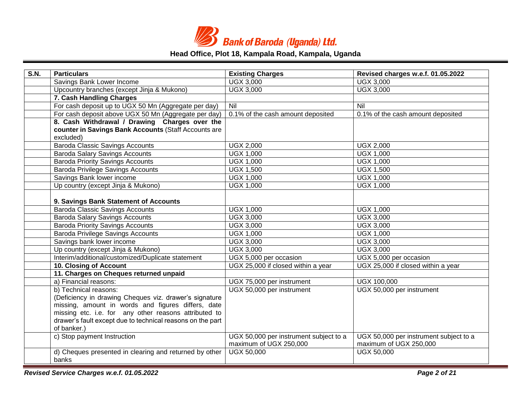

| S.N. | <b>Particulars</b>                                              | <b>Existing Charges</b>                | Revised charges w.e.f. 01.05.2022      |
|------|-----------------------------------------------------------------|----------------------------------------|----------------------------------------|
|      | Savings Bank Lower Income                                       | <b>UGX 3,000</b>                       | <b>UGX 3,000</b>                       |
|      | Upcountry branches (except Jinja & Mukono)                      | <b>UGX 3,000</b>                       | <b>UGX 3,000</b>                       |
|      | 7. Cash Handling Charges                                        |                                        |                                        |
|      | For cash deposit up to UGX 50 Mn (Aggregate per day)            | Nil                                    | Nil                                    |
|      | For cash deposit above UGX 50 Mn (Aggregate per day)            | 0.1% of the cash amount deposited      | 0.1% of the cash amount deposited      |
|      | 8. Cash Withdrawal / Drawing Charges over the                   |                                        |                                        |
|      | counter in Savings Bank Accounts (Staff Accounts are            |                                        |                                        |
|      | excluded)                                                       |                                        |                                        |
|      | <b>Baroda Classic Savings Accounts</b>                          | <b>UGX 2,000</b>                       | <b>UGX 2,000</b>                       |
|      | <b>Baroda Salary Savings Accounts</b>                           | <b>UGX 1,000</b>                       | <b>UGX 1,000</b>                       |
|      | <b>Baroda Priority Savings Accounts</b>                         | <b>UGX 1,000</b>                       | <b>UGX 1,000</b>                       |
|      | <b>Baroda Privilege Savings Accounts</b>                        | <b>UGX 1,500</b>                       | <b>UGX 1,500</b>                       |
|      | Savings Bank lower income                                       | <b>UGX 1,000</b>                       | <b>UGX 1,000</b>                       |
|      | Up country (except Jinja & Mukono)                              | <b>UGX 1,000</b>                       | <b>UGX 1,000</b>                       |
|      |                                                                 |                                        |                                        |
|      | 9. Savings Bank Statement of Accounts                           |                                        |                                        |
|      | <b>Baroda Classic Savings Accounts</b>                          | <b>UGX 1,000</b>                       | <b>UGX 1,000</b>                       |
|      | <b>Baroda Salary Savings Accounts</b>                           | <b>UGX 3,000</b>                       | <b>UGX 3,000</b>                       |
|      | <b>Baroda Priority Savings Accounts</b>                         | <b>UGX 3,000</b>                       | <b>UGX 3,000</b>                       |
|      | <b>Baroda Privilege Savings Accounts</b>                        | <b>UGX 1,000</b>                       | <b>UGX 1,000</b>                       |
|      | Savings bank lower income                                       | <b>UGX 3,000</b>                       | <b>UGX 3,000</b>                       |
|      | Up country (except Jinja & Mukono)                              | <b>UGX 3,000</b>                       | <b>UGX 3,000</b>                       |
|      | Interim/additional/customized/Duplicate statement               | UGX 5,000 per occasion                 | UGX 5,000 per occasion                 |
|      | 10. Closing of Account                                          | UGX 25,000 if closed within a year     | UGX 25,000 if closed within a year     |
|      | 11. Charges on Cheques returned unpaid                          |                                        |                                        |
|      | a) Financial reasons:                                           | UGX 75,000 per instrument              | UGX 100,000                            |
|      | b) Technical reasons:                                           | UGX 50,000 per instrument              | UGX 50,000 per instrument              |
|      | (Deficiency in drawing Cheques viz. drawer's signature          |                                        |                                        |
|      | missing, amount in words and figures differs, date              |                                        |                                        |
|      | missing etc. i.e. for any other reasons attributed to           |                                        |                                        |
|      | drawer's fault except due to technical reasons on the part      |                                        |                                        |
|      | of banker.)                                                     |                                        |                                        |
|      | c) Stop payment Instruction                                     | UGX 50,000 per instrument subject to a | UGX 50,000 per instrument subject to a |
|      |                                                                 | maximum of UGX 250,000                 | maximum of UGX 250,000                 |
|      | d) Cheques presented in clearing and returned by other<br>banks | UGX 50,000                             | <b>UGX 50,000</b>                      |

*Revised Service Charges w.e.f. 01.05.2022 Page 2 of 21*

and the state of the state.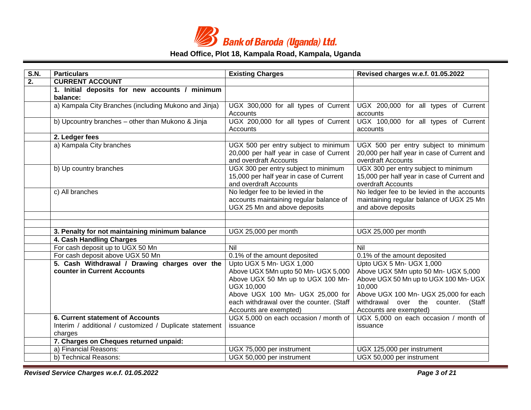

| S.N. | <b>Particulars</b>                                                                                            | <b>Existing Charges</b>                                                                                                                                       | Revised charges w.e.f. 01.05.2022                                                                                  |
|------|---------------------------------------------------------------------------------------------------------------|---------------------------------------------------------------------------------------------------------------------------------------------------------------|--------------------------------------------------------------------------------------------------------------------|
| 2.   | <b>CURRENT ACCOUNT</b>                                                                                        |                                                                                                                                                               |                                                                                                                    |
|      | 1. Initial deposits for new accounts / minimum<br>balance:                                                    |                                                                                                                                                               |                                                                                                                    |
|      | a) Kampala City Branches (including Mukono and Jinja)                                                         | UGX 300,000 for all types of Current<br><b>Accounts</b>                                                                                                       | UGX 200,000 for all types of Current<br>accounts                                                                   |
|      | b) Upcountry branches - other than Mukono & Jinja                                                             | UGX 200,000 for all types of Current<br>Accounts                                                                                                              | UGX 100,000 for all types of Current<br>accounts                                                                   |
|      | 2. Ledger fees                                                                                                |                                                                                                                                                               |                                                                                                                    |
|      | a) Kampala City branches                                                                                      | UGX 500 per entry subject to minimum<br>20,000 per half year in case of Current<br>and overdraft Accounts                                                     | UGX 500 per entry subject to minimum<br>20,000 per half year in case of Current and<br>overdraft Accounts          |
|      | b) Up country branches                                                                                        | UGX 300 per entry subject to minimum<br>15,000 per half year in case of Current<br>and overdraft Accounts                                                     | UGX 300 per entry subject to minimum<br>15,000 per half year in case of Current and<br>overdraft Accounts          |
|      | c) All branches                                                                                               | No ledger fee to be levied in the<br>accounts maintaining regular balance of<br>UGX 25 Mn and above deposits                                                  | No ledger fee to be levied in the accounts<br>maintaining regular balance of UGX 25 Mn<br>and above deposits       |
|      |                                                                                                               |                                                                                                                                                               |                                                                                                                    |
|      |                                                                                                               |                                                                                                                                                               |                                                                                                                    |
|      | 3. Penalty for not maintaining minimum balance                                                                | UGX 25,000 per month                                                                                                                                          | UGX 25,000 per month                                                                                               |
|      | 4. Cash Handling Charges                                                                                      |                                                                                                                                                               |                                                                                                                    |
|      | For cash deposit up to UGX 50 Mn                                                                              | Nil                                                                                                                                                           | Nil                                                                                                                |
|      | For cash deposit above UGX 50 Mn                                                                              | 0.1% of the amount deposited                                                                                                                                  | 0.1% of the amount deposited                                                                                       |
|      | 5. Cash Withdrawal / Drawing charges over the<br>counter in Current Accounts                                  | Upto UGX 5 Mn- UGX 1,000<br>Above UGX 5Mn upto 50 Mn- UGX 5,000<br>Above UGX 50 Mn up to UGX 100 Mn-<br><b>UGX 10,000</b><br>Above UGX 100 Mn- UGX 25,000 for | Upto UGX 5 Mn- UGX 1,000<br>Above UGX 5Mn upto 50 Mn- UGX 5,000<br>Above UGX 50 Mn up to UGX 100 Mn- UGX<br>10,000 |
|      |                                                                                                               | each withdrawal over the counter. (Staff<br>Accounts are exempted)                                                                                            | Above UGX 100 Mn- UGX 25,000 for each<br>withdrawal over the counter. (Staff<br>Accounts are exempted)             |
|      | <b>6. Current statement of Accounts</b><br>Interim / additional / customized / Duplicate statement<br>charges | UGX 5,000 on each occasion / month of<br>issuance                                                                                                             | UGX 5,000 on each occasion / month of<br>issuance                                                                  |
|      | 7. Charges on Cheques returned unpaid:                                                                        |                                                                                                                                                               |                                                                                                                    |
|      | a) Financial Reasons:                                                                                         | UGX 75,000 per instrument                                                                                                                                     | UGX 125,000 per instrument                                                                                         |
|      | b) Technical Reasons:                                                                                         | UGX 50,000 per instrument                                                                                                                                     | UGX 50,000 per instrument                                                                                          |

*Revised Service Charges w.e.f. 01.05.2022 Page 3 of 21*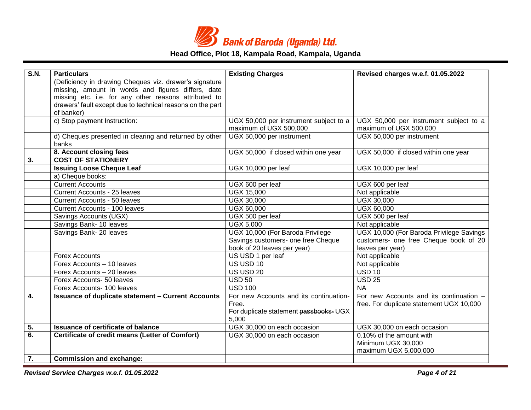

| S.N. | <b>Particulars</b>                                              | <b>Existing Charges</b>                | Revised charges w.e.f. 01.05.2022        |
|------|-----------------------------------------------------------------|----------------------------------------|------------------------------------------|
|      | (Deficiency in drawing Cheques viz. drawer's signature          |                                        |                                          |
|      | missing, amount in words and figures differs, date              |                                        |                                          |
|      | missing etc. i.e. for any other reasons attributed to           |                                        |                                          |
|      | drawers' fault except due to technical reasons on the part      |                                        |                                          |
|      | of banker)                                                      |                                        |                                          |
|      | c) Stop payment Instruction:                                    | UGX 50,000 per instrument subject to a | UGX 50,000 per instrument subject to a   |
|      |                                                                 | maximum of UGX 500,000                 | maximum of UGX 500,000                   |
|      | d) Cheques presented in clearing and returned by other<br>banks | UGX 50,000 per instrument              | UGX 50,000 per instrument                |
|      | 8. Account closing fees                                         | UGX 50,000 if closed within one year   | UGX 50,000 if closed within one year     |
| 3.   | <b>COST OF STATIONERY</b>                                       |                                        |                                          |
|      | <b>Issuing Loose Cheque Leaf</b>                                | UGX 10,000 per leaf                    | UGX 10,000 per leaf                      |
|      | a) Cheque books:                                                |                                        |                                          |
|      | <b>Current Accounts</b>                                         | UGX 600 per leaf                       | UGX 600 per leaf                         |
|      | Current Accounts - 25 leaves                                    | <b>UGX 15,000</b>                      | Not applicable                           |
|      | <b>Current Accounts - 50 leaves</b>                             | <b>UGX 30,000</b>                      | <b>UGX 30,000</b>                        |
|      | Current Accounts - 100 leaves                                   | <b>UGX 60,000</b>                      | <b>UGX 60,000</b>                        |
|      | Savings Accounts (UGX)                                          | UGX 500 per leaf                       | UGX 500 per leaf                         |
|      | Savings Bank- 10 leaves                                         | <b>UGX 5,000</b>                       | Not applicable                           |
|      | Savings Bank- 20 leaves                                         | UGX 10,000 (For Baroda Privilege       | UGX 10,000 (For Baroda Privilege Savings |
|      |                                                                 | Savings customers- one free Cheque     | customers- one free Cheque book of 20    |
|      |                                                                 | book of 20 leaves per year)            | leaves per year)                         |
|      | <b>Forex Accounts</b>                                           | US USD 1 per leaf                      | Not applicable                           |
|      | Forex Accounts - 10 leaves                                      | US USD 10                              | Not applicable                           |
|      | Forex Accounts - 20 leaves                                      | <b>US USD 20</b>                       | $\overline{USD}$ 10                      |
|      | Forex Accounts- 50 leaves                                       | <b>USD 50</b>                          | <b>USD 25</b>                            |
|      | Forex Accounts- 100 leaves                                      | <b>USD 100</b>                         | <b>NA</b>                                |
| 4.   | <b>Issuance of duplicate statement - Current Accounts</b>       | For new Accounts and its continuation- | For new Accounts and its continuation -  |
|      |                                                                 | Free.                                  | free. For duplicate statement UGX 10,000 |
|      |                                                                 | For duplicate statement passbooks- UGX |                                          |
|      |                                                                 | 5,000                                  |                                          |
| 5.   | <b>Issuance of certificate of balance</b>                       | UGX 30,000 on each occasion            | UGX 30,000 on each occasion              |
| 6.   | Certificate of credit means (Letter of Comfort)                 | UGX 30,000 on each occasion            | 0.10% of the amount with                 |
|      |                                                                 |                                        | Minimum UGX 30,000                       |
|      |                                                                 |                                        | maximum UGX 5,000,000                    |
| 7.   | <b>Commission and exchange:</b>                                 |                                        |                                          |

*Revised Service Charges w.e.f. 01.05.2022 Page 4 of 21*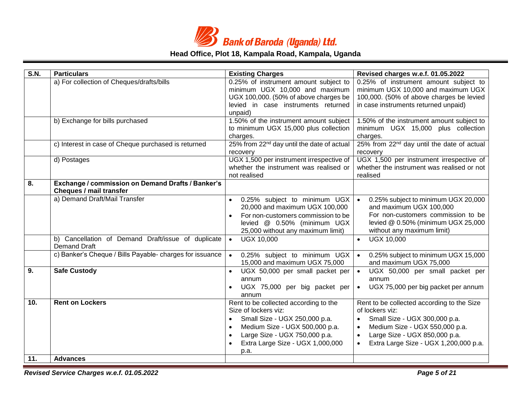

| S.N.       | <b>Particulars</b>                                                                  | <b>Existing Charges</b>                                                                                                                                                                                                    | Revised charges w.e.f. 01.05.2022                                                                                                                                                                                                                 |
|------------|-------------------------------------------------------------------------------------|----------------------------------------------------------------------------------------------------------------------------------------------------------------------------------------------------------------------------|---------------------------------------------------------------------------------------------------------------------------------------------------------------------------------------------------------------------------------------------------|
|            | a) For collection of Cheques/drafts/bills                                           | 0.25% of instrument amount subject to<br>minimum UGX 10,000 and maximum<br>UGX 100,000. (50% of above charges be<br>levied in case instruments returned<br>unpaid)                                                         | 0.25% of instrument amount subject to<br>minimum UGX 10,000 and maximum UGX<br>100,000. (50% of above charges be levied<br>in case instruments returned unpaid)                                                                                   |
|            | b) Exchange for bills purchased                                                     | 1.50% of the instrument amount subject<br>to minimum UGX 15,000 plus collection<br>charges.                                                                                                                                | 1.50% of the instrument amount subject to<br>minimum UGX 15,000 plus collection<br>charges.                                                                                                                                                       |
|            | c) Interest in case of Cheque purchased is returned                                 | 25% from 22 <sup>nd</sup> day until the date of actual<br>recovery                                                                                                                                                         | 25% from 22 <sup>nd</sup> day until the date of actual<br>recovery                                                                                                                                                                                |
|            | d) Postages                                                                         | UGX 1,500 per instrument irrespective of<br>whether the instrument was realised or<br>not realised                                                                                                                         | UGX 1,500 per instrument irrespective of<br>whether the instrument was realised or not<br>realised                                                                                                                                                |
| 8.         | Exchange / commission on Demand Drafts / Banker's<br><b>Cheques / mail transfer</b> |                                                                                                                                                                                                                            |                                                                                                                                                                                                                                                   |
|            | a) Demand Draft/Mail Transfer                                                       | 0.25% subject to minimum UGX<br>20,000 and maximum UGX 100,000<br>For non-customers commission to be<br>levied @ 0.50% (minimum UGX<br>25,000 without any maximum limit)                                                   | 0.25% subject to minimum UGX 20,000<br>and maximum UGX 100,000<br>For non-customers commission to be<br>levied @ 0.50% (minimum UGX 25,000<br>without any maximum limit)                                                                          |
|            | b) Cancellation of Demand Draft/issue of duplicate<br><b>Demand Draft</b>           | <b>UGX 10,000</b><br>$\bullet$                                                                                                                                                                                             | <b>UGX 10,000</b><br>$\bullet$                                                                                                                                                                                                                    |
|            | c) Banker's Cheque / Bills Payable- charges for issuance                            | 0.25% subject to minimum UGX<br>$\bullet$<br>15,000 and maximum UGX 75,000                                                                                                                                                 | 0.25% subject to minimum UGX 15,000<br>$\bullet$<br>and maximum UGX 75,000                                                                                                                                                                        |
| 9.         | <b>Safe Custody</b>                                                                 | UGX 50,000 per small packet per<br>$\bullet$<br>annum<br>UGX 75,000 per big packet per<br>annum                                                                                                                            | UGX 50,000 per small packet per<br>$\bullet$<br>annum<br>UGX 75,000 per big packet per annum<br>$\bullet$                                                                                                                                         |
| 10.<br>11. | <b>Rent on Lockers</b><br><b>Advances</b>                                           | Rent to be collected according to the<br>Size of lockers viz:<br>Small Size - UGX 250,000 p.a.<br>$\bullet$<br>Medium Size - UGX 500,000 p.a.<br>Large Size - UGX 750,000 p.a.<br>Extra Large Size - UGX 1,000,000<br>p.a. | Rent to be collected according to the Size<br>of lockers viz:<br>Small Size - UGX 300,000 p.a.<br>$\bullet$<br>Medium Size - UGX 550,000 p.a.<br>$\bullet$<br>Large Size - UGX 850,000 p.a.<br>$\bullet$<br>Extra Large Size - UGX 1,200,000 p.a. |

*Revised Service Charges w.e.f. 01.05.2022 Page 5 of 21*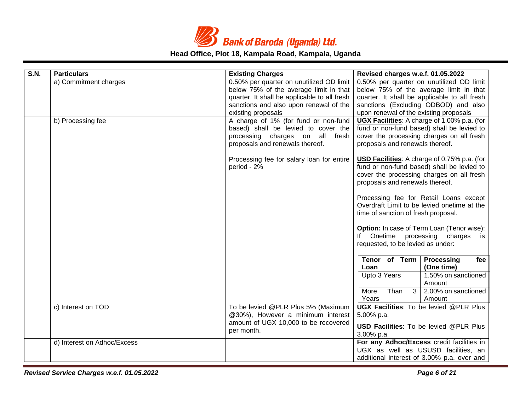

| S.N. | <b>Particulars</b>          | <b>Existing Charges</b>                                                                                                                           | Revised charges w.e.f. 01.05.2022                                                                                                                                                |
|------|-----------------------------|---------------------------------------------------------------------------------------------------------------------------------------------------|----------------------------------------------------------------------------------------------------------------------------------------------------------------------------------|
|      | a) Commitment charges       | 0.50% per quarter on unutilized OD limit<br>below 75% of the average limit in that                                                                | 0.50% per quarter on unutilized OD limit<br>below 75% of the average limit in that                                                                                               |
|      |                             | quarter. It shall be applicable to all fresh                                                                                                      | quarter. It shall be applicable to all fresh                                                                                                                                     |
|      |                             | sanctions and also upon renewal of the                                                                                                            | sanctions (Excluding ODBOD) and also                                                                                                                                             |
|      |                             | existing proposals                                                                                                                                | upon renewal of the existing proposals                                                                                                                                           |
|      | b) Processing fee           | A charge of 1% (for fund or non-fund<br>based) shall be levied to cover the<br>processing charges on all fresh<br>proposals and renewals thereof. | UGX Facilities: A charge of 1.00% p.a. (for<br>fund or non-fund based) shall be levied to<br>cover the processing charges on all fresh<br>proposals and renewals thereof.        |
|      |                             | Processing fee for salary loan for entire<br>period - 2%                                                                                          | <b>USD Facilities:</b> A charge of 0.75% p.a. (for<br>fund or non-fund based) shall be levied to<br>cover the processing charges on all fresh<br>proposals and renewals thereof. |
|      |                             |                                                                                                                                                   | Processing fee for Retail Loans except<br>Overdraft Limit to be levied onetime at the<br>time of sanction of fresh proposal.                                                     |
|      |                             |                                                                                                                                                   | Option: In case of Term Loan (Tenor wise):<br>If Onetime processing charges is<br>requested, to be levied as under:                                                              |
|      |                             |                                                                                                                                                   | Tenor of Term<br>Processing<br>fee<br>(One time)<br>Loan                                                                                                                         |
|      |                             |                                                                                                                                                   | Upto 3 Years<br>1.50% on sanctioned<br>Amount                                                                                                                                    |
|      |                             |                                                                                                                                                   | 3 <sup>1</sup><br>2.00% on sanctioned<br>More<br>Than<br>Years<br>Amount                                                                                                         |
|      | c) Interest on TOD          | To be levied @PLR Plus 5% (Maximum                                                                                                                | <b>UGX Facilities:</b> To be levied @PLR Plus                                                                                                                                    |
|      |                             | @30%), However a minimum interest                                                                                                                 | 5.00% p.a.                                                                                                                                                                       |
|      |                             | amount of UGX 10,000 to be recovered<br>per month.                                                                                                | <b>USD Facilities:</b> To be levied @PLR Plus                                                                                                                                    |
|      |                             |                                                                                                                                                   | 3.00% p.a.                                                                                                                                                                       |
|      | d) Interest on Adhoc/Excess |                                                                                                                                                   | For any Adhoc/Excess credit facilities in                                                                                                                                        |
|      |                             |                                                                                                                                                   | UGX as well as USUSD facilities, an                                                                                                                                              |
|      |                             |                                                                                                                                                   | additional interest of 3.00% p.a. over and                                                                                                                                       |

*Revised Service Charges w.e.f. 01.05.2022 Page 6 of 21*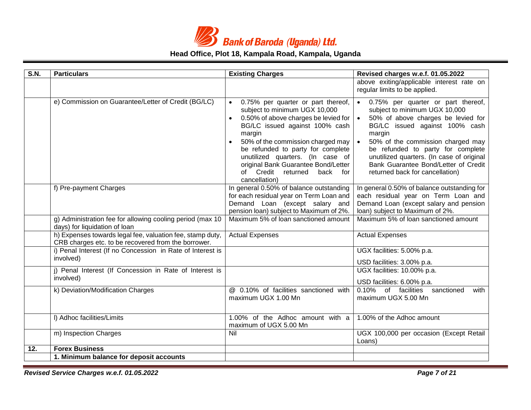

| S.N. | <b>Particulars</b>                                                                                               | <b>Existing Charges</b>                                                                                                                                                                                                                                                                                                                                         | Revised charges w.e.f. 01.05.2022                                                                                                                                                                                                                                                                                                                       |
|------|------------------------------------------------------------------------------------------------------------------|-----------------------------------------------------------------------------------------------------------------------------------------------------------------------------------------------------------------------------------------------------------------------------------------------------------------------------------------------------------------|---------------------------------------------------------------------------------------------------------------------------------------------------------------------------------------------------------------------------------------------------------------------------------------------------------------------------------------------------------|
|      |                                                                                                                  |                                                                                                                                                                                                                                                                                                                                                                 | above exiting/applicable interest rate on<br>regular limits to be applied.                                                                                                                                                                                                                                                                              |
|      | e) Commission on Guarantee/Letter of Credit (BG/LC)                                                              | 0.75% per quarter or part thereof,<br>subject to minimum UGX 10,000<br>0.50% of above charges be levied for<br>BG/LC issued against 100% cash<br>margin<br>50% of the commission charged may<br>be refunded to party for complete<br>unutilized quarters. (In case of<br>original Bank Guarantee Bond/Letter<br>of Credit returned<br>back for<br>cancellation) | 0.75% per quarter or part thereof,<br>subject to minimum UGX 10,000<br>50% of above charges be levied for<br>BG/LC issued against 100% cash<br>margin<br>50% of the commission charged may<br>be refunded to party for complete<br>unutilized quarters. (In case of original<br>Bank Guarantee Bond/Letter of Credit<br>returned back for cancellation) |
|      | f) Pre-payment Charges                                                                                           | In general 0.50% of balance outstanding<br>for each residual year on Term Loan and<br>Demand Loan (except salary and<br>pension loan) subject to Maximum of 2%.                                                                                                                                                                                                 | In general 0.50% of balance outstanding for<br>each residual year on Term Loan and<br>Demand Loan (except salary and pension<br>loan) subject to Maximum of 2%.                                                                                                                                                                                         |
|      | g) Administration fee for allowing cooling period (max 10<br>days) for liquidation of loan                       | Maximum 5% of loan sanctioned amount                                                                                                                                                                                                                                                                                                                            | Maximum 5% of loan sanctioned amount                                                                                                                                                                                                                                                                                                                    |
|      | h) Expenses towards legal fee, valuation fee, stamp duty,<br>CRB charges etc. to be recovered from the borrower. | <b>Actual Expenses</b>                                                                                                                                                                                                                                                                                                                                          | <b>Actual Expenses</b>                                                                                                                                                                                                                                                                                                                                  |
|      | i) Penal Interest (If no Concession in Rate of Interest is<br>involved)                                          |                                                                                                                                                                                                                                                                                                                                                                 | UGX facilities: 5.00% p.a.<br>USD facilities: 3.00% p.a.                                                                                                                                                                                                                                                                                                |
|      | j) Penal Interest (If Concession in Rate of Interest is<br>involved)                                             |                                                                                                                                                                                                                                                                                                                                                                 | UGX facilities: 10.00% p.a.<br>USD facilities: 6.00% p.a.                                                                                                                                                                                                                                                                                               |
|      | k) Deviation/Modification Charges                                                                                | @ 0.10% of facilities sanctioned with<br>maximum UGX 1.00 Mn                                                                                                                                                                                                                                                                                                    | 0.10% of facilities<br>sanctioned<br>with<br>maximum UGX 5.00 Mn                                                                                                                                                                                                                                                                                        |
|      | I) Adhoc facilities/Limits                                                                                       | 1.00% of the Adhoc amount with a<br>maximum of UGX 5.00 Mn                                                                                                                                                                                                                                                                                                      | 1.00% of the Adhoc amount                                                                                                                                                                                                                                                                                                                               |
|      | m) Inspection Charges                                                                                            | Nil                                                                                                                                                                                                                                                                                                                                                             | UGX 100,000 per occasion (Except Retail<br>Loans)                                                                                                                                                                                                                                                                                                       |
| 12.  | <b>Forex Business</b>                                                                                            |                                                                                                                                                                                                                                                                                                                                                                 |                                                                                                                                                                                                                                                                                                                                                         |
|      | 1. Minimum balance for deposit accounts                                                                          |                                                                                                                                                                                                                                                                                                                                                                 |                                                                                                                                                                                                                                                                                                                                                         |

*Revised Service Charges w.e.f. 01.05.2022 Page 7 of 21*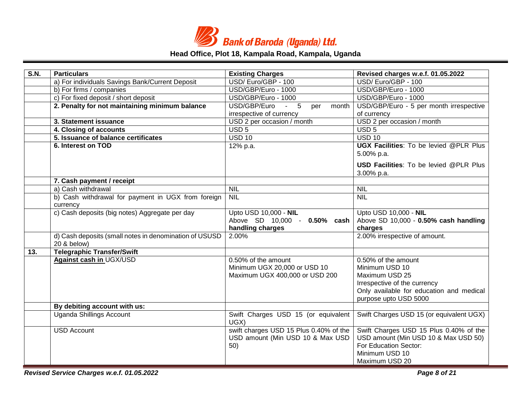

| S.N. | <b>Particulars</b>                                                    | <b>Existing Charges</b>                                                               | Revised charges w.e.f. 01.05.2022                                                                                                                            |
|------|-----------------------------------------------------------------------|---------------------------------------------------------------------------------------|--------------------------------------------------------------------------------------------------------------------------------------------------------------|
|      | a) For individuals Savings Bank/Current Deposit                       | USD/Euro/GBP - 100                                                                    | USD/Euro/GBP - 100                                                                                                                                           |
|      | b) For firms / companies                                              | USD/GBP/Euro - 1000                                                                   | USD/GBP/Euro - 1000                                                                                                                                          |
|      | c) For fixed deposit / short deposit                                  | USD/GBP/Euro - 1000                                                                   | USD/GBP/Euro - 1000                                                                                                                                          |
|      | 2. Penalty for not maintaining minimum balance                        | $-5$<br>USD/GBP/Euro<br>per<br>month                                                  | USD/GBP/Euro - 5 per month irrespective                                                                                                                      |
|      |                                                                       | irrespective of currency                                                              | of currency                                                                                                                                                  |
|      | 3. Statement issuance                                                 | USD 2 per occasion / month                                                            | USD 2 per occasion / month                                                                                                                                   |
|      | 4. Closing of accounts                                                | USD <sub>5</sub>                                                                      | USD <sub>5</sub>                                                                                                                                             |
|      | 5. Issuance of balance certificates                                   | <b>USD 10</b>                                                                         | <b>USD 10</b>                                                                                                                                                |
|      | 6. Interest on TOD                                                    | 12% p.a.                                                                              | <b>UGX Facilities:</b> To be levied @PLR Plus<br>5.00% p.a.                                                                                                  |
|      |                                                                       |                                                                                       | <b>USD Facilities:</b> To be levied @PLR Plus<br>3.00% p.a.                                                                                                  |
|      | 7. Cash payment / receipt                                             |                                                                                       |                                                                                                                                                              |
|      | a) Cash withdrawal                                                    | <b>NIL</b>                                                                            | <b>NIL</b>                                                                                                                                                   |
|      | b) Cash withdrawal for payment in UGX from foreign<br>currency        | <b>NIL</b>                                                                            | <b>NIL</b>                                                                                                                                                   |
|      | c) Cash deposits (big notes) Aggregate per day                        | Upto USD 10,000 - NIL<br>Above SD 10,000 - 0.50% cash<br>handling charges             | Upto USD 10,000 - NIL<br>Above SD 10,000 - 0.50% cash handling<br>charges                                                                                    |
|      | d) Cash deposits (small notes in denomination of USUSD<br>20 & below) | 2.00%                                                                                 | 2.00% irrespective of amount.                                                                                                                                |
| 13.  | <b>Telegraphic Transfer/Swift</b>                                     |                                                                                       |                                                                                                                                                              |
|      | <b>Against cash in UGX/USD</b>                                        | 0.50% of the amount<br>Minimum UGX 20,000 or USD 10<br>Maximum UGX 400,000 or USD 200 | 0.50% of the amount<br>Minimum USD 10<br>Maximum USD 25<br>Irrespective of the currency<br>Only available for education and medical<br>purpose upto USD 5000 |
|      | By debiting account with us:                                          |                                                                                       |                                                                                                                                                              |
|      | <b>Uganda Shillings Account</b>                                       | Swift Charges USD 15 (or equivalent<br>UGX)                                           | Swift Charges USD 15 (or equivalent UGX)                                                                                                                     |
|      | <b>USD Account</b>                                                    | swift charges USD 15 Plus 0.40% of the<br>USD amount (Min USD 10 & Max USD<br>50)     | Swift Charges USD 15 Plus 0.40% of the<br>USD amount (Min USD 10 & Max USD 50)<br>For Education Sector:<br>Minimum USD 10<br>Maximum USD 20                  |

*Revised Service Charges w.e.f. 01.05.2022 Page 8 of 21*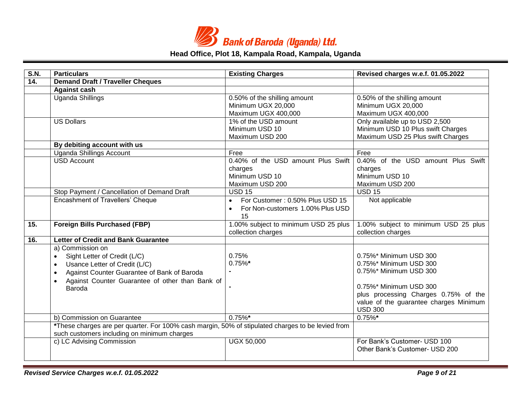

| S.N.              | <b>Particulars</b>                                                                                | <b>Existing Charges</b>                      | Revised charges w.e.f. 01.05.2022      |
|-------------------|---------------------------------------------------------------------------------------------------|----------------------------------------------|----------------------------------------|
| $\overline{14}$ . | <b>Demand Draft / Traveller Cheques</b>                                                           |                                              |                                        |
|                   | <b>Against cash</b>                                                                               |                                              |                                        |
|                   | Uganda Shillings                                                                                  | 0.50% of the shilling amount                 | 0.50% of the shilling amount           |
|                   |                                                                                                   | Minimum UGX 20,000                           | Minimum UGX 20,000                     |
|                   |                                                                                                   | Maximum UGX 400,000                          | Maximum UGX 400,000                    |
|                   | <b>US Dollars</b>                                                                                 | 1% of the USD amount                         | Only available up to USD 2,500         |
|                   |                                                                                                   | Minimum USD 10                               | Minimum USD 10 Plus swift Charges      |
|                   |                                                                                                   | Maximum USD 200                              | Maximum USD 25 Plus swift Charges      |
|                   | By debiting account with us                                                                       |                                              |                                        |
|                   | <b>Uganda Shillings Account</b>                                                                   | Free                                         | Free                                   |
|                   | <b>USD Account</b>                                                                                | 0.40% of the USD amount Plus Swift           | 0.40% of the USD amount Plus Swift     |
|                   |                                                                                                   | charges                                      | charges                                |
|                   |                                                                                                   | Minimum USD 10                               | Minimum USD 10                         |
|                   |                                                                                                   | Maximum USD 200                              | Maximum USD 200                        |
|                   | Stop Payment / Cancellation of Demand Draft                                                       | <b>USD 15</b>                                | <b>USD 15</b>                          |
|                   | <b>Encashment of Travellers' Cheque</b>                                                           | For Customer: 0.50% Plus USD 15<br>$\bullet$ | Not applicable                         |
|                   |                                                                                                   | For Non-customers 1.00% Plus USD             |                                        |
|                   |                                                                                                   | 15                                           |                                        |
| 15.               | <b>Foreign Bills Purchased (FBP)</b>                                                              | 1.00% subject to minimum USD 25 plus         | 1.00% subject to minimum USD 25 plus   |
|                   |                                                                                                   | collection charges                           | collection charges                     |
| 16.               | <b>Letter of Credit and Bank Guarantee</b>                                                        |                                              |                                        |
|                   | a) Commission on                                                                                  |                                              |                                        |
|                   | Sight Letter of Credit (L/C)                                                                      | 0.75%                                        | 0.75%* Minimum USD 300                 |
|                   | Usance Letter of Credit (L/C)<br>$\bullet$                                                        | $0.75\%$ *                                   | 0.75%* Minimum USD 300                 |
|                   | Against Counter Guarantee of Bank of Baroda                                                       |                                              | 0.75%* Minimum USD 300                 |
|                   | Against Counter Guarantee of other than Bank of                                                   |                                              |                                        |
|                   | Baroda                                                                                            |                                              | 0.75%* Minimum USD 300                 |
|                   |                                                                                                   |                                              | plus processing Charges 0.75% of the   |
|                   |                                                                                                   |                                              | value of the guarantee charges Minimum |
|                   |                                                                                                   |                                              | <b>USD 300</b>                         |
|                   | b) Commission on Guarantee                                                                        | $0.75\%$ *                                   | $0.75\%$ *                             |
|                   | *These charges are per quarter. For 100% cash margin, 50% of stipulated charges to be levied from |                                              |                                        |
|                   | such customers including on minimum charges                                                       |                                              |                                        |
|                   | c) LC Advising Commission                                                                         | <b>UGX 50,000</b>                            | For Bank's Customer- USD 100           |
|                   |                                                                                                   |                                              | Other Bank's Customer- USD 200         |
|                   |                                                                                                   |                                              |                                        |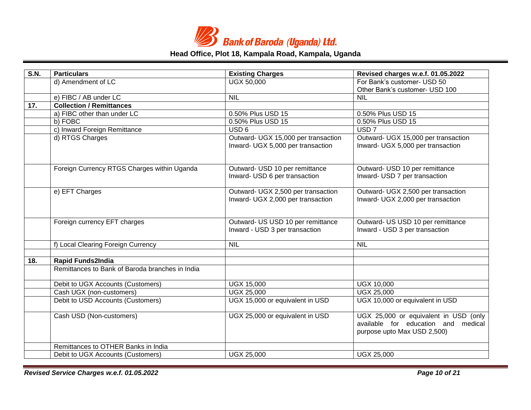

| S.N. | <b>Particulars</b>                              | <b>Existing Charges</b>             | Revised charges w.e.f. 01.05.2022     |
|------|-------------------------------------------------|-------------------------------------|---------------------------------------|
|      | d) Amendment of LC                              | <b>UGX 50,000</b>                   | For Bank's customer- USD 50           |
|      |                                                 |                                     | Other Bank's customer- USD 100        |
|      | e) FIBC / AB under LC                           | <b>NIL</b>                          | <b>NIL</b>                            |
| 17.  | <b>Collection / Remittances</b>                 |                                     |                                       |
|      | a) FIBC other than under LC                     | 0.50% Plus USD 15                   | 0.50% Plus USD 15                     |
|      | b) FOBC                                         | 0.50% Plus USD 15                   | 0.50% Plus USD 15                     |
|      | c) Inward Foreign Remittance                    | USD <sub>6</sub>                    | USD <sub>7</sub>                      |
|      | d) RTGS Charges                                 | Outward- UGX 15,000 per transaction | Outward- UGX 15,000 per transaction   |
|      |                                                 | Inward- UGX 5,000 per transaction   | Inward- UGX 5,000 per transaction     |
|      |                                                 |                                     |                                       |
|      | Foreign Currency RTGS Charges within Uganda     | Outward- USD 10 per remittance      | Outward- USD 10 per remittance        |
|      |                                                 | Inward- USD 6 per transaction       | Inward- USD 7 per transaction         |
|      |                                                 |                                     |                                       |
|      | e) EFT Charges                                  | Outward- UGX 2,500 per transaction  | Outward- UGX 2,500 per transaction    |
|      |                                                 | Inward- UGX 2,000 per transaction   | Inward- UGX 2,000 per transaction     |
|      |                                                 |                                     |                                       |
|      | Foreign currency EFT charges                    | Outward- US USD 10 per remittance   | Outward- US USD 10 per remittance     |
|      |                                                 | Inward - USD 3 per transaction      | Inward - USD 3 per transaction        |
|      | f) Local Clearing Foreign Currency              | <b>NIL</b>                          | <b>NIL</b>                            |
|      |                                                 |                                     |                                       |
| 18.  | <b>Rapid Funds2India</b>                        |                                     |                                       |
|      | Remittances to Bank of Baroda branches in India |                                     |                                       |
|      | Debit to UGX Accounts (Customers)               | <b>UGX 15,000</b>                   | <b>UGX 10,000</b>                     |
|      | Cash UGX (non-customers)                        | <b>UGX 25,000</b>                   | <b>UGX 25,000</b>                     |
|      | Debit to USD Accounts (Customers)               | UGX 15,000 or equivalent in USD     | UGX 10,000 or equivalent in USD       |
|      | Cash USD (Non-customers)                        | UGX 25,000 or equivalent in USD     | UGX 25,000 or equivalent in USD (only |
|      |                                                 |                                     | available for education and medical   |
|      |                                                 |                                     | purpose upto Max USD 2,500)           |
|      | Remittances to OTHER Banks in India             |                                     |                                       |
|      | Debit to UGX Accounts (Customers)               | <b>UGX 25,000</b>                   | <b>UGX 25,000</b>                     |

*Revised Service Charges w.e.f. 01.05.2022 Page 10 of 21*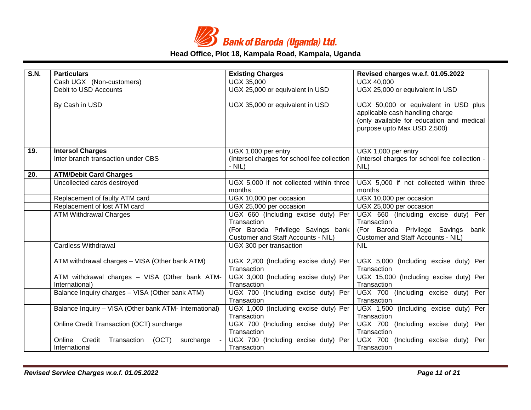

| S.N. | <b>Particulars</b>                                                     | <b>Existing Charges</b>                                                                                                        | Revised charges w.e.f. 01.05.2022                                                                                                                   |
|------|------------------------------------------------------------------------|--------------------------------------------------------------------------------------------------------------------------------|-----------------------------------------------------------------------------------------------------------------------------------------------------|
|      | Cash UGX (Non-customers)                                               | <b>UGX 35,000</b>                                                                                                              | <b>UGX 40,000</b>                                                                                                                                   |
|      | Debit to USD Accounts                                                  | UGX 25,000 or equivalent in USD                                                                                                | UGX 25,000 or equivalent in USD                                                                                                                     |
|      | By Cash in USD                                                         | UGX 35,000 or equivalent in USD                                                                                                | UGX 50,000 or equivalent in USD plus<br>applicable cash handling charge<br>(only available for education and medical<br>purpose upto Max USD 2,500) |
| 19.  | <b>Intersol Charges</b>                                                | UGX 1,000 per entry                                                                                                            | $\overline{UG}$ X 1,000 per entry                                                                                                                   |
|      | Inter branch transaction under CBS                                     | (Intersol charges for school fee collection<br>$-$ NIL)                                                                        | (Intersol charges for school fee collection -<br>NIL)                                                                                               |
| 20.  | <b>ATM/Debit Card Charges</b>                                          |                                                                                                                                |                                                                                                                                                     |
|      | Uncollected cards destroyed                                            | UGX 5,000 if not collected within three<br>months                                                                              | UGX 5,000 if not collected within three<br>months                                                                                                   |
|      | Replacement of faulty ATM card                                         | UGX 10,000 per occasion                                                                                                        | UGX 10,000 per occasion                                                                                                                             |
|      | Replacement of lost ATM card                                           | UGX 25,000 per occasion                                                                                                        | UGX 25,000 per occasion                                                                                                                             |
|      | <b>ATM Withdrawal Charges</b>                                          | UGX 660 (Including excise duty) Per<br>Transaction<br>(For Baroda Privilege Savings bank<br>Customer and Staff Accounts - NIL) | UGX 660 (Including excise duty) Per<br>Transaction<br>(For Baroda Privilege Savings<br>bank<br>Customer and Staff Accounts - NIL)                   |
|      | <b>Cardless Withdrawal</b>                                             | UGX 300 per transaction                                                                                                        | <b>NIL</b>                                                                                                                                          |
|      | ATM withdrawal charges - VISA (Other bank ATM)                         | UGX 2,200 (Including excise duty) Per<br>Transaction                                                                           | UGX 5,000 (Including excise duty) Per<br>Transaction                                                                                                |
|      | ATM withdrawal charges - VISA (Other bank ATM-<br>International)       | UGX 3,000 (Including excise duty) Per<br>Transaction                                                                           | UGX 15,000 (Including excise duty) Per<br>Transaction                                                                                               |
|      | Balance Inquiry charges - VISA (Other bank ATM)                        | UGX 700 (Including excise duty) Per<br>Transaction                                                                             | UGX 700 (Including excise duty) Per<br>Transaction                                                                                                  |
|      | Balance Inquiry - VISA (Other bank ATM- International)                 | UGX 1,000 (Including excise duty) Per<br>Transaction                                                                           | UGX 1,500 (Including excise duty) Per<br>Transaction                                                                                                |
|      | Online Credit Transaction (OCT) surcharge                              | UGX 700 (Including excise duty) Per<br>Transaction                                                                             | UGX 700 (Including excise duty) Per<br>Transaction                                                                                                  |
|      | Credit<br>(OCT)<br>Online<br>Transaction<br>surcharge<br>International | UGX 700 (Including excise duty) Per<br>Transaction                                                                             | UGX 700 (Including excise duty) Per<br>Transaction                                                                                                  |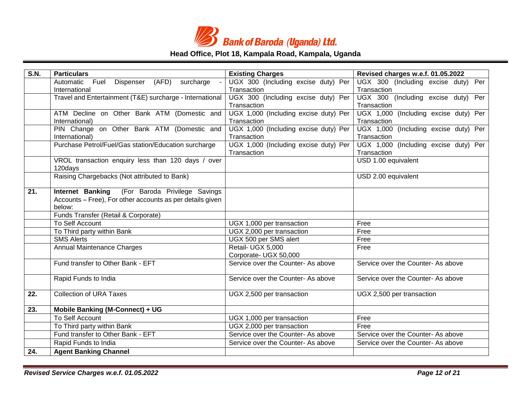

| <b>S.N.</b> | <b>Particulars</b>                                                     | <b>Existing Charges</b>                                     | Revised charges w.e.f. 01.05.2022                    |
|-------------|------------------------------------------------------------------------|-------------------------------------------------------------|------------------------------------------------------|
|             | (AFD)<br>surcharge<br>Automatic<br>Fuel Dispenser                      | UGX 300 (Including excise duty) Per                         | UGX 300 (Including excise duty) Per                  |
|             | International                                                          | Transaction                                                 | Transaction                                          |
|             | Travel and Entertainment (T&E) surcharge - International               | UGX 300 (Including excise duty) Per                         | UGX 300 (Including excise duty) Per                  |
|             |                                                                        | Transaction                                                 | Transaction                                          |
|             | ATM Decline on Other Bank ATM (Domestic and                            | UGX 1,000 (Including excise duty) Per                       | UGX 1,000 (Including excise duty) Per                |
|             | International)                                                         | Transaction                                                 | Transaction                                          |
|             | PIN Change on Other Bank ATM (Domestic and                             | UGX 1,000 (Including excise duty) Per                       | UGX 1,000 (Including excise duty) Per                |
|             | International)<br>Purchase Petrol/Fuel/Gas station/Education surcharge | Transaction<br>UGX 1,000 (Including excise duty) Per        | Transaction<br>UGX 1,000 (Including excise duty) Per |
|             |                                                                        | Transaction                                                 | Transaction                                          |
|             | VROL transaction enquiry less than 120 days / over                     |                                                             | USD 1.00 equivalent                                  |
|             | 120days                                                                |                                                             |                                                      |
|             | Raising Chargebacks (Not attributed to Bank)                           |                                                             | USD 2.00 equivalent                                  |
|             |                                                                        |                                                             |                                                      |
| 21.         | Internet Banking (For Baroda Privilege Savings                         |                                                             |                                                      |
|             | Accounts – Free), For other accounts as per details given              |                                                             |                                                      |
|             | below:                                                                 |                                                             |                                                      |
|             | Funds Transfer (Retail & Corporate)                                    |                                                             |                                                      |
|             | <b>To Self Account</b>                                                 | UGX 1,000 per transaction                                   | Free                                                 |
|             | To Third party within Bank                                             | UGX 2,000 per transaction                                   | Free                                                 |
|             | <b>SMS Alerts</b>                                                      | UGX 500 per SMS alert                                       | Free                                                 |
|             | <b>Annual Maintenance Charges</b>                                      | Retail- UGX 5,000                                           | Free                                                 |
|             | Fund transfer to Other Bank - EFT                                      | Corporate- UGX 50,000<br>Service over the Counter- As above | Service over the Counter- As above                   |
|             |                                                                        |                                                             |                                                      |
|             | Rapid Funds to India                                                   | Service over the Counter- As above                          | Service over the Counter- As above                   |
| 22.         | <b>Collection of URA Taxes</b>                                         | UGX 2,500 per transaction                                   | UGX 2,500 per transaction                            |
| 23.         | Mobile Banking (M-Connect) + UG                                        |                                                             |                                                      |
|             | To Self Account                                                        | UGX 1,000 per transaction                                   | Free                                                 |
|             | To Third party within Bank                                             | UGX 2,000 per transaction                                   | Free                                                 |
|             | Fund transfer to Other Bank - EFT                                      | Service over the Counter- As above                          | Service over the Counter- As above                   |
|             | Rapid Funds to India                                                   | Service over the Counter- As above                          | Service over the Counter- As above                   |
| 24.         | <b>Agent Banking Channel</b>                                           |                                                             |                                                      |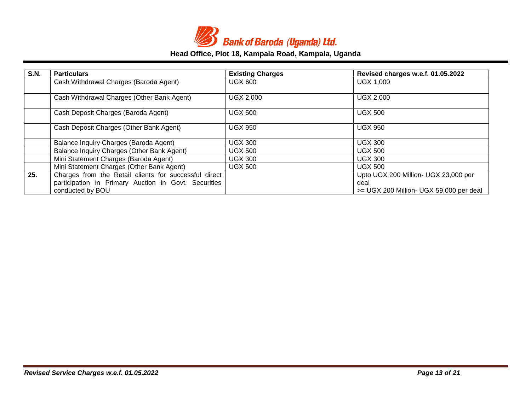

| <b>S.N.</b> | <b>Particulars</b>                                    | <b>Existing Charges</b> | Revised charges w.e.f. 01.05.2022       |
|-------------|-------------------------------------------------------|-------------------------|-----------------------------------------|
|             | Cash Withdrawal Charges (Baroda Agent)                | <b>UGX 600</b>          | <b>UGX 1,000</b>                        |
|             |                                                       |                         |                                         |
|             | Cash Withdrawal Charges (Other Bank Agent)            | <b>UGX 2,000</b>        | <b>UGX 2,000</b>                        |
|             |                                                       |                         |                                         |
|             | Cash Deposit Charges (Baroda Agent)                   | <b>UGX 500</b>          | <b>UGX 500</b>                          |
|             | Cash Deposit Charges (Other Bank Agent)               | <b>UGX 950</b>          | <b>UGX 950</b>                          |
|             |                                                       |                         |                                         |
|             | Balance Inquiry Charges (Baroda Agent)                | <b>UGX 300</b>          | <b>UGX 300</b>                          |
|             | Balance Inquiry Charges (Other Bank Agent)            | <b>UGX 500</b>          | <b>UGX 500</b>                          |
|             | Mini Statement Charges (Baroda Agent)                 | <b>UGX 300</b>          | <b>UGX 300</b>                          |
|             | Mini Statement Charges (Other Bank Agent)             | <b>UGX 500</b>          | <b>UGX 500</b>                          |
| 25.         | Charges from the Retail clients for successful direct |                         | Upto UGX 200 Million- UGX 23,000 per    |
|             | participation in Primary Auction in Govt. Securities  |                         | deal                                    |
|             | conducted by BOU                                      |                         | >= UGX 200 Million- UGX 59,000 per deal |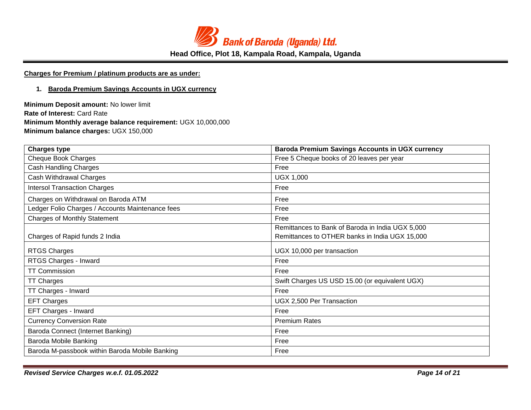

# **Charges for Premium / platinum products are as under:**

#### **1. Baroda Premium Savings Accounts in UGX currency**

**Minimum Deposit amount:** No lower limit **Rate of Interest:** Card Rate **Minimum Monthly average balance requirement:** UGX 10,000,000 **Minimum balance charges:** UGX 150,000

| <b>Charges type</b>                              | <b>Baroda Premium Savings Accounts in UGX currency</b> |  |
|--------------------------------------------------|--------------------------------------------------------|--|
| <b>Cheque Book Charges</b>                       | Free 5 Cheque books of 20 leaves per year              |  |
| <b>Cash Handling Charges</b>                     | Free                                                   |  |
| Cash Withdrawal Charges                          | <b>UGX 1,000</b>                                       |  |
| <b>Intersol Transaction Charges</b>              | Free                                                   |  |
| Charges on Withdrawal on Baroda ATM              | Free                                                   |  |
| Ledger Folio Charges / Accounts Maintenance fees | Free                                                   |  |
| <b>Charges of Monthly Statement</b>              | Free                                                   |  |
|                                                  | Remittances to Bank of Baroda in India UGX 5,000       |  |
| Charges of Rapid funds 2 India                   | Remittances to OTHER banks in India UGX 15,000         |  |
| <b>RTGS Charges</b>                              | UGX 10,000 per transaction                             |  |
| RTGS Charges - Inward                            | Free                                                   |  |
| <b>TT Commission</b>                             | Free                                                   |  |
| <b>TT Charges</b>                                | Swift Charges US USD 15.00 (or equivalent UGX)         |  |
| TT Charges - Inward                              | Free                                                   |  |
| <b>EFT Charges</b>                               | UGX 2,500 Per Transaction                              |  |
| EFT Charges - Inward                             | Free                                                   |  |
| <b>Currency Conversion Rate</b>                  | <b>Premium Rates</b>                                   |  |
| Baroda Connect (Internet Banking)                | Free                                                   |  |
| Baroda Mobile Banking                            | Free                                                   |  |
| Baroda M-passbook within Baroda Mobile Banking   | Free                                                   |  |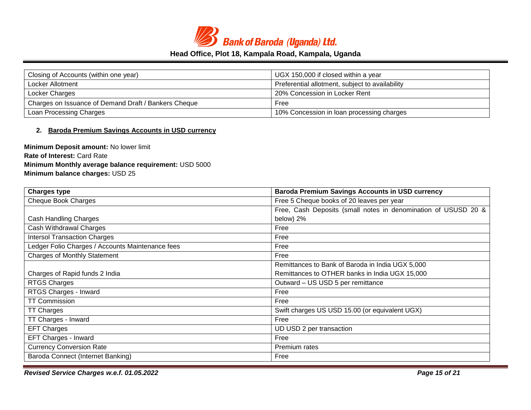

| Closing of Accounts (within one year)                | UGX 150,000 if closed within a year             |  |
|------------------------------------------------------|-------------------------------------------------|--|
| Locker Allotment                                     | Preferential allotment, subject to availability |  |
| Locker Charges                                       | 20% Concession in Locker Rent                   |  |
| Charges on Issuance of Demand Draft / Bankers Cheque | Free                                            |  |
| Loan Processing Charges                              | 10% Concession in loan processing charges       |  |

### **2. Baroda Premium Savings Accounts in USD currency**

**Minimum Deposit amount:** No lower limit **Rate of Interest:** Card Rate **Minimum Monthly average balance requirement:** USD 5000 **Minimum balance charges:** USD 25

| <b>Charges type</b>                              | <b>Baroda Premium Savings Accounts in USD currency</b>         |  |
|--------------------------------------------------|----------------------------------------------------------------|--|
| <b>Cheque Book Charges</b>                       | Free 5 Cheque books of 20 leaves per year                      |  |
|                                                  | Free, Cash Deposits (small notes in denomination of USUSD 20 & |  |
| Cash Handling Charges                            | below) 2%                                                      |  |
| Cash Withdrawal Charges                          | Free                                                           |  |
| <b>Intersol Transaction Charges</b>              | Free                                                           |  |
| Ledger Folio Charges / Accounts Maintenance fees | Free                                                           |  |
| <b>Charges of Monthly Statement</b>              | Free                                                           |  |
|                                                  | Remittances to Bank of Baroda in India UGX 5,000               |  |
| Charges of Rapid funds 2 India                   | Remittances to OTHER banks in India UGX 15,000                 |  |
| RTGS Charges                                     | Outward - US USD 5 per remittance                              |  |
| RTGS Charges - Inward                            | Free                                                           |  |
| <b>TT Commission</b>                             | Free                                                           |  |
| <b>TT Charges</b>                                | Swift charges US USD 15.00 (or equivalent UGX)                 |  |
| TT Charges - Inward                              | Free                                                           |  |
| <b>EFT Charges</b>                               | UD USD 2 per transaction                                       |  |
| EFT Charges - Inward                             | Free                                                           |  |
| <b>Currency Conversion Rate</b>                  | Premium rates                                                  |  |
| Baroda Connect (Internet Banking)                | Free                                                           |  |

*Revised Service Charges w.e.f. 01.05.2022 Page 15 of 21*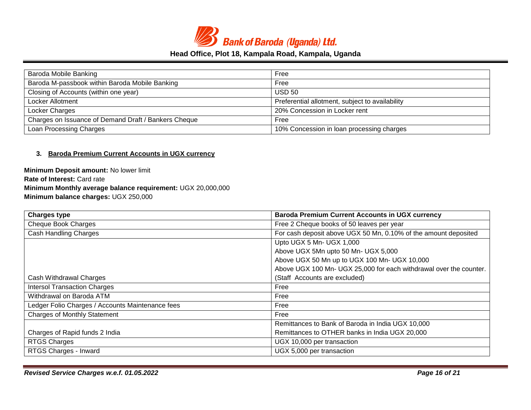

| Baroda Mobile Banking                                | Free                                            |
|------------------------------------------------------|-------------------------------------------------|
| Baroda M-passbook within Baroda Mobile Banking       | Free                                            |
| Closing of Accounts (within one year)                | <b>USD 50</b>                                   |
| Locker Allotment                                     | Preferential allotment, subject to availability |
| Locker Charges                                       | 20% Concession in Locker rent                   |
| Charges on Issuance of Demand Draft / Bankers Cheque | Free                                            |
| Loan Processing Charges                              | 10% Concession in loan processing charges       |

### **3. Baroda Premium Current Accounts in UGX currency**

**Minimum Deposit amount:** No lower limit **Rate of Interest:** Card rate **Minimum Monthly average balance requirement:** UGX 20,000,000 **Minimum balance charges:** UGX 250,000

| <b>Charges type</b>                              | <b>Baroda Premium Current Accounts in UGX currency</b>             |
|--------------------------------------------------|--------------------------------------------------------------------|
| <b>Cheque Book Charges</b>                       | Free 2 Cheque books of 50 leaves per year                          |
| <b>Cash Handling Charges</b>                     | For cash deposit above UGX 50 Mn, 0.10% of the amount deposited    |
|                                                  | Upto UGX 5 Mn- UGX 1,000                                           |
|                                                  | Above UGX 5Mn upto 50 Mn- UGX 5,000                                |
|                                                  | Above UGX 50 Mn up to UGX 100 Mn- UGX 10,000                       |
|                                                  | Above UGX 100 Mn- UGX 25,000 for each withdrawal over the counter. |
| Cash Withdrawal Charges                          | (Staff Accounts are excluded)                                      |
| <b>Intersol Transaction Charges</b>              | Free                                                               |
| Withdrawal on Baroda ATM                         | Free                                                               |
| Ledger Folio Charges / Accounts Maintenance fees | Free                                                               |
| <b>Charges of Monthly Statement</b>              | Free                                                               |
|                                                  | Remittances to Bank of Baroda in India UGX 10,000                  |
| Charges of Rapid funds 2 India                   | Remittances to OTHER banks in India UGX 20,000                     |
| RTGS Charges                                     | UGX 10,000 per transaction                                         |
| RTGS Charges - Inward                            | UGX 5,000 per transaction                                          |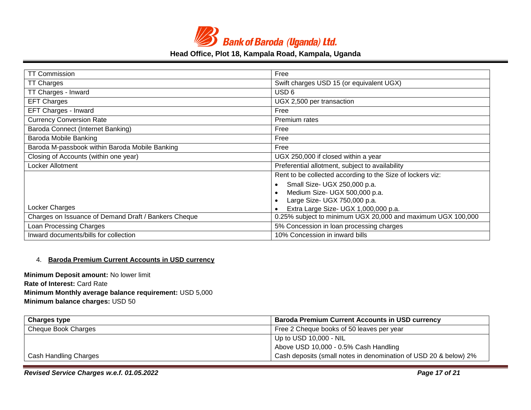

| <b>TT Commission</b>                                                | Free                                                        |  |
|---------------------------------------------------------------------|-------------------------------------------------------------|--|
| <b>TT Charges</b>                                                   | Swift charges USD 15 (or equivalent UGX)                    |  |
| TT Charges - Inward                                                 | USD 6                                                       |  |
| <b>EFT Charges</b>                                                  | UGX 2,500 per transaction                                   |  |
| EFT Charges - Inward                                                | Free                                                        |  |
| <b>Currency Conversion Rate</b>                                     | Premium rates                                               |  |
| Baroda Connect (Internet Banking)<br>Free                           |                                                             |  |
| Baroda Mobile Banking                                               | Free                                                        |  |
| Baroda M-passbook within Baroda Mobile Banking                      | Free                                                        |  |
| Closing of Accounts (within one year)                               | UGX 250,000 if closed within a year                         |  |
| Locker Allotment<br>Preferential allotment, subject to availability |                                                             |  |
|                                                                     | Rent to be collected according to the Size of lockers viz:  |  |
|                                                                     | Small Size- UGX 250,000 p.a.                                |  |
|                                                                     | Medium Size- UGX 500,000 p.a.                               |  |
|                                                                     | Large Size- UGX 750,000 p.a.                                |  |
| Locker Charges                                                      | Extra Large Size- UGX 1,000,000 p.a.                        |  |
| Charges on Issuance of Demand Draft / Bankers Cheque                | 0.25% subject to minimum UGX 20,000 and maximum UGX 100,000 |  |
| Loan Processing Charges<br>5% Concession in loan processing charges |                                                             |  |
| Inward documents/bills for collection                               | 10% Concession in inward bills                              |  |

#### 4. **Baroda Premium Current Accounts in USD currency**

**Minimum Deposit amount:** No lower limit **Rate of Interest:** Card Rate **Minimum Monthly average balance requirement:** USD 5,000 **Minimum balance charges:** USD 50

| <b>Charges type</b>   | <b>Baroda Premium Current Accounts in USD currency</b>           |  |
|-----------------------|------------------------------------------------------------------|--|
| Cheque Book Charges   | Free 2 Cheque books of 50 leaves per year                        |  |
|                       | Up to USD 10,000 - NIL                                           |  |
|                       | Above USD 10,000 - 0.5% Cash Handling                            |  |
| Cash Handling Charges | Cash deposits (small notes in denomination of USD 20 & below) 2% |  |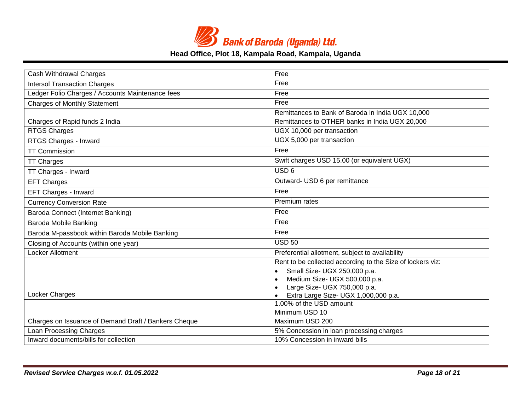

| Cash Withdrawal Charges                              | Free                                                       |
|------------------------------------------------------|------------------------------------------------------------|
| <b>Intersol Transaction Charges</b>                  | Free                                                       |
| Ledger Folio Charges / Accounts Maintenance fees     | Free                                                       |
| <b>Charges of Monthly Statement</b>                  | Free                                                       |
|                                                      | Remittances to Bank of Baroda in India UGX 10,000          |
| Charges of Rapid funds 2 India                       | Remittances to OTHER banks in India UGX 20,000             |
| <b>RTGS Charges</b>                                  | UGX 10,000 per transaction                                 |
| RTGS Charges - Inward                                | UGX 5,000 per transaction                                  |
| <b>TT Commission</b>                                 | Free                                                       |
| <b>TT Charges</b>                                    | Swift charges USD 15.00 (or equivalent UGX)                |
| TT Charges - Inward                                  | USD <sub>6</sub>                                           |
| <b>EFT Charges</b>                                   | Outward- USD 6 per remittance                              |
| EFT Charges - Inward                                 | Free                                                       |
| <b>Currency Conversion Rate</b>                      | Premium rates                                              |
| Baroda Connect (Internet Banking)                    | Free                                                       |
| <b>Baroda Mobile Banking</b>                         | Free                                                       |
| Baroda M-passbook within Baroda Mobile Banking       | Free                                                       |
| Closing of Accounts (within one year)                | <b>USD 50</b>                                              |
| Locker Allotment                                     | Preferential allotment, subject to availability            |
|                                                      | Rent to be collected according to the Size of lockers viz: |
|                                                      | Small Size- UGX 250,000 p.a.                               |
|                                                      | Medium Size- UGX 500,000 p.a.<br>$\bullet$                 |
|                                                      | Large Size- UGX 750,000 p.a.<br>$\bullet$                  |
| Locker Charges                                       | Extra Large Size- UGX 1,000,000 p.a.                       |
|                                                      | 1.00% of the USD amount                                    |
|                                                      | Minimum USD 10                                             |
| Charges on Issuance of Demand Draft / Bankers Cheque | Maximum USD 200                                            |
| Loan Processing Charges                              | 5% Concession in loan processing charges                   |
| Inward documents/bills for collection                | 10% Concession in inward bills                             |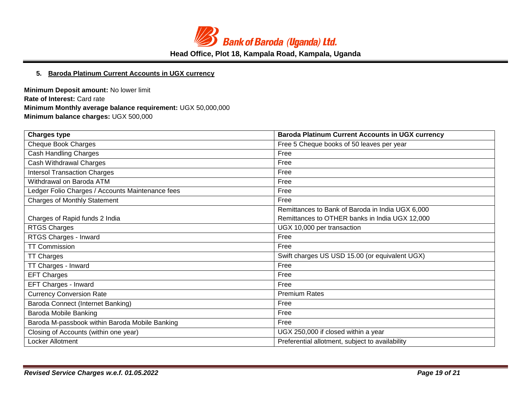

### **5. Baroda Platinum Current Accounts in UGX currency**

**Minimum Deposit amount:** No lower limit **Rate of Interest:** Card rate **Minimum Monthly average balance requirement:** UGX 50,000,000 **Minimum balance charges:** UGX 500,000

| <b>Charges type</b>                              | <b>Baroda Platinum Current Accounts in UGX currency</b> |  |
|--------------------------------------------------|---------------------------------------------------------|--|
| <b>Cheque Book Charges</b>                       | Free 5 Cheque books of 50 leaves per year               |  |
| Cash Handling Charges                            | Free                                                    |  |
| Cash Withdrawal Charges                          | Free                                                    |  |
| <b>Intersol Transaction Charges</b>              | Free                                                    |  |
| Withdrawal on Baroda ATM                         | Free                                                    |  |
| Ledger Folio Charges / Accounts Maintenance fees | Free                                                    |  |
| <b>Charges of Monthly Statement</b>              | Free                                                    |  |
|                                                  | Remittances to Bank of Baroda in India UGX 6,000        |  |
| Charges of Rapid funds 2 India                   | Remittances to OTHER banks in India UGX 12,000          |  |
| RTGS Charges                                     | UGX 10,000 per transaction                              |  |
| RTGS Charges - Inward                            | Free                                                    |  |
| <b>TT Commission</b>                             | Free                                                    |  |
| <b>TT Charges</b>                                | Swift charges US USD 15.00 (or equivalent UGX)          |  |
| TT Charges - Inward                              | Free                                                    |  |
| <b>EFT Charges</b>                               | Free                                                    |  |
| EFT Charges - Inward                             | Free                                                    |  |
| <b>Currency Conversion Rate</b>                  | <b>Premium Rates</b>                                    |  |
| Baroda Connect (Internet Banking)                | Free                                                    |  |
| Baroda Mobile Banking                            | Free                                                    |  |
| Baroda M-passbook within Baroda Mobile Banking   | Free                                                    |  |
| Closing of Accounts (within one year)            | UGX 250,000 if closed within a year                     |  |
| Locker Allotment                                 | Preferential allotment, subject to availability         |  |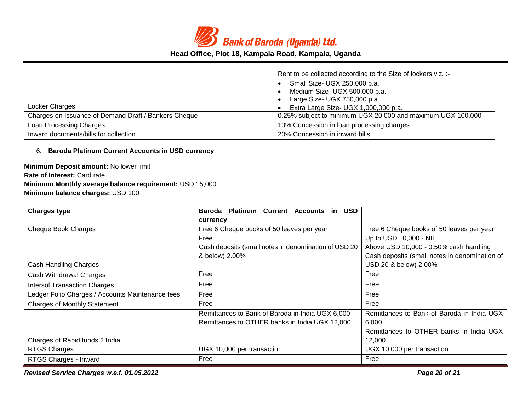

|                                                      | Rent to be collected according to the Size of lockers viz. :-<br>Small Size- UGX 250,000 p.a.<br>Medium Size- UGX 500,000 p.a.<br>Large Size- UGX 750,000 p.a. |
|------------------------------------------------------|----------------------------------------------------------------------------------------------------------------------------------------------------------------|
| Locker Charges                                       | Extra Large Size- UGX 1,000,000 p.a.                                                                                                                           |
| Charges on Issuance of Demand Draft / Bankers Cheque | 0.25% subject to minimum UGX 20,000 and maximum UGX 100,000                                                                                                    |
| Loan Processing Charges                              | 10% Concession in loan processing charges                                                                                                                      |
| Inward documents/bills for collection                | 20% Concession in inward bills                                                                                                                                 |

#### 6. **Baroda Platinum Current Accounts in USD currency**

**Minimum Deposit amount:** No lower limit **Rate of Interest:** Card rate **Minimum Monthly average balance requirement:** USD 15,000 **Minimum balance charges:** USD 100

| <b>Charges type</b>                              | <b>Platinum Current Accounts</b><br><b>USD</b><br>Baroda<br>-in |                                               |
|--------------------------------------------------|-----------------------------------------------------------------|-----------------------------------------------|
|                                                  | currency                                                        |                                               |
| <b>Cheque Book Charges</b>                       | Free 6 Cheque books of 50 leaves per year                       | Free 6 Cheque books of 50 leaves per year     |
|                                                  | Free                                                            | Up to USD 10,000 - NIL                        |
|                                                  | Cash deposits (small notes in denomination of USD 20            | Above USD 10,000 - 0.50% cash handling        |
|                                                  | & below) 2.00%                                                  | Cash deposits (small notes in denomination of |
| Cash Handling Charges                            |                                                                 | USD 20 & below) 2.00%                         |
| Cash Withdrawal Charges                          | Free                                                            | Free                                          |
| <b>Intersol Transaction Charges</b>              | Free                                                            | Free                                          |
| Ledger Folio Charges / Accounts Maintenance fees | Free                                                            | Free                                          |
| <b>Charges of Monthly Statement</b>              | Free                                                            | Free                                          |
|                                                  | Remittances to Bank of Baroda in India UGX 6,000                | Remittances to Bank of Baroda in India UGX    |
|                                                  | Remittances to OTHER banks in India UGX 12,000                  | 6,000                                         |
|                                                  |                                                                 | Remittances to OTHER banks in India UGX       |
| Charges of Rapid funds 2 India                   |                                                                 | 12,000                                        |
| RTGS Charges                                     | UGX 10,000 per transaction                                      | UGX 10,000 per transaction                    |
| RTGS Charges - Inward                            | Free                                                            | Free                                          |

*Revised Service Charges w.e.f. 01.05.2022 Page 20 of 21*